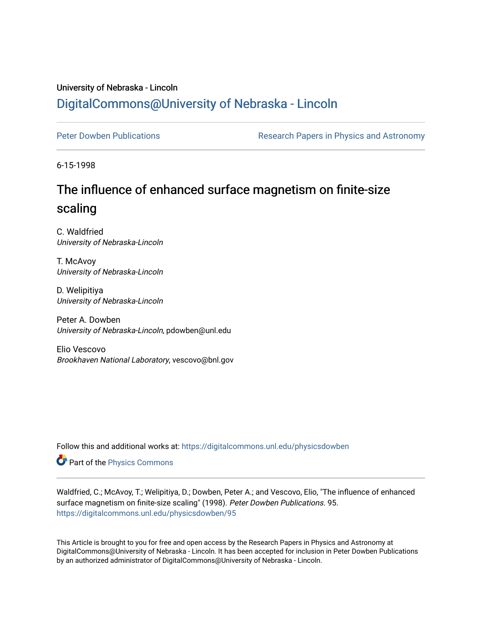## University of Nebraska - Lincoln [DigitalCommons@University of Nebraska - Lincoln](https://digitalcommons.unl.edu/)

[Peter Dowben Publications](https://digitalcommons.unl.edu/physicsdowben) **Research Papers in Physics and Astronomy** 

6-15-1998

## The influence of enhanced surface magnetism on finite-size scaling

C. Waldfried University of Nebraska-Lincoln

T. McAvoy University of Nebraska-Lincoln

D. Welipitiya University of Nebraska-Lincoln

Peter A. Dowben University of Nebraska-Lincoln, pdowben@unl.edu

Elio Vescovo Brookhaven National Laboratory, vescovo@bnl.gov

Follow this and additional works at: [https://digitalcommons.unl.edu/physicsdowben](https://digitalcommons.unl.edu/physicsdowben?utm_source=digitalcommons.unl.edu%2Fphysicsdowben%2F95&utm_medium=PDF&utm_campaign=PDFCoverPages) 

Part of the [Physics Commons](http://network.bepress.com/hgg/discipline/193?utm_source=digitalcommons.unl.edu%2Fphysicsdowben%2F95&utm_medium=PDF&utm_campaign=PDFCoverPages)

Waldfried, C.; McAvoy, T.; Welipitiya, D.; Dowben, Peter A.; and Vescovo, Elio, "The influence of enhanced surface magnetism on finite-size scaling" (1998). Peter Dowben Publications. 95. [https://digitalcommons.unl.edu/physicsdowben/95](https://digitalcommons.unl.edu/physicsdowben/95?utm_source=digitalcommons.unl.edu%2Fphysicsdowben%2F95&utm_medium=PDF&utm_campaign=PDFCoverPages)

This Article is brought to you for free and open access by the Research Papers in Physics and Astronomy at DigitalCommons@University of Nebraska - Lincoln. It has been accepted for inclusion in Peter Dowben Publications by an authorized administrator of DigitalCommons@University of Nebraska - Lincoln.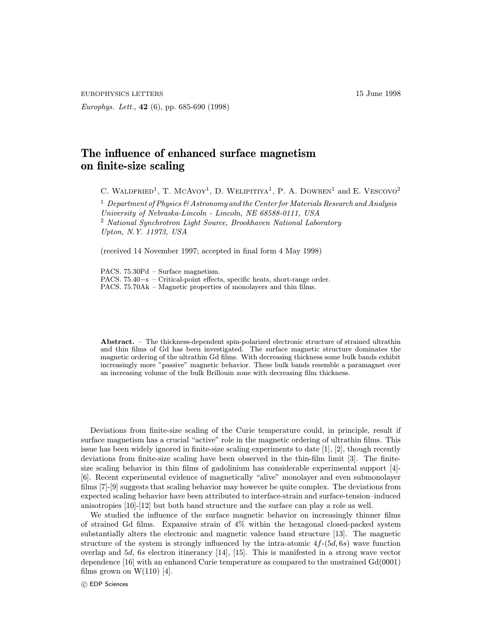EUROPHYSICS LETTERS 15 June 1998

Europhys. Lett., 42 (6), pp. 685-690 (1998)

## The influence of enhanced surface magnetism on finite-size scaling

C. WALDFRIED<sup>1</sup>, T. MCAVOY<sup>1</sup>, D. WELIPITIYA<sup>1</sup>, P. A. DOWBEN<sup>1</sup> and E. VESCOVO<sup>2</sup>

<sup>1</sup> Department of Physics  $\mathfrak G$  Astronomy and the Center for Materials Research and Analysis University of Nebraska-Lincoln - Lincoln, NE 68588-0111, USA <sup>2</sup> National Synchrotron Light Source, Brookhaven National Laboratory Upton, N.Y. 11973, USA

(received 14 November 1997; accepted in final form 4 May 1998)

PACS. 75.30Pd – Surface magnetism. PACS. 75.40−s – Critical-point effects, specific heats, short-range order. PACS. 75.70Ak – Magnetic properties of monolayers and thin films.

Abstract. – The thickness-dependent spin-polarized electronic structure of strained ultrathin and thin films of Gd has been investigated. The surface magnetic structure dominates the magnetic ordering of the ultrathin Gd films. With decreasing thickness some bulk bands exhibit increasingly more "passive" magnetic behavior. These bulk bands resemble a paramagnet over an increasing volume of the bulk Brillouin zone with decreasing film thickness.

Deviations from finite-size scaling of the Curie temperature could, in principle, result if surface magnetism has a crucial "active" role in the magnetic ordering of ultrathin films. This issue has been widely ignored in finite-size scaling experiments to date [1], [2], though recently deviations from finite-size scaling have been observed in the thin-film limit [3]. The finitesize scaling behavior in thin films of gadolinium has considerable experimental support [4]- [6]. Recent experimental evidence of magnetically "alive" monolayer and even submonolayer films [7]-[9] suggests that scaling behavior may however be quite complex. The deviations from expected scaling behavior have been attributed to interface-strain and surface-tension–induced anisotropies [10]-[12] but both band structure and the surface can play a role as well.

We studied the influence of the surface magnetic behavior on increasingly thinner films of strained Gd films. Expansive strain of 4% within the hexagonal closed-packed system substantially alters the electronic and magnetic valence band structure [13]. The magnetic structure of the system is strongly influenced by the intra-atomic  $4f-(5d, 6s)$  wave function overlap and 5d, 6s electron itinerancy [14], [15]. This is manifested in a strong wave vector dependence [16] with an enhanced Curie temperature as compared to the unstrained Gd(0001) films grown on  $W(110)$  [4].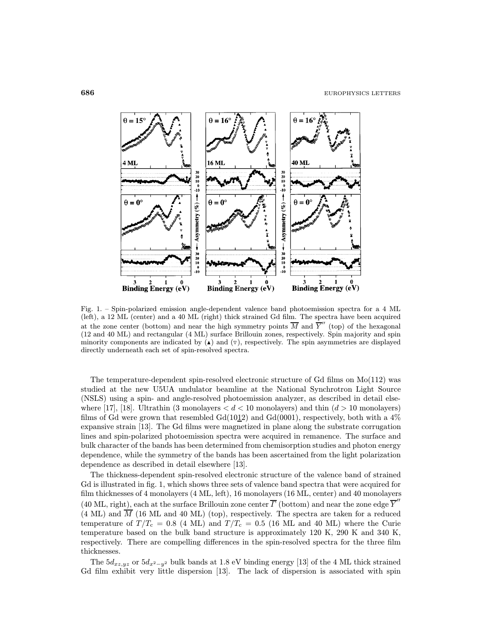

Fig. 1. – Spin-polarized emission angle-dependent valence band photoemission spectra for a 4 ML (left), a 12 ML (center) and a 40 ML (right) thick strained Gd film. The spectra have been acquired at the zone center (bottom) and near the high symmetry points  $\overline{M}$  and  $\overline{Y}''$  (top) of the hexagonal (12 and 40 ML) and rectangular (4 ML) surface Brillouin zones, respectively. Spin majority and spin minority components are indicated by  $(\triangle)$  and  $(\triangledown)$ , respectively. The spin asymmetries are displayed directly underneath each set of spin-resolved spectra.

The temperature-dependent spin-resolved electronic structure of Gd films on Mo(112) was studied at the new U5UA undulator beamline at the National Synchrotron Light Source (NSLS) using a spin- and angle-resolved photoemission analyzer, as described in detail elsewhere [17], [18]. Ultrathin (3 monolayers  $d < 10$  monolayers) and thin  $(d > 10$  monolayers) films of Gd were grown that resembled Gd(1012) and Gd(0001), respectively, both with a  $4\%$ expansive strain [13]. The Gd films were magnetized in plane along the substrate corrugation lines and spin-polarized photoemission spectra were acquired in remanence. The surface and bulk character of the bands has been determined from chemisorption studies and photon energy dependence, while the symmetry of the bands has been ascertained from the light polarization dependence as described in detail elsewhere [13].

The thickness-dependent spin-resolved electronic structure of the valence band of strained Gd is illustrated in fig. 1, which shows three sets of valence band spectra that were acquired for film thicknesses of 4 monolayers (4 ML, left), 16 monolayers (16 ML, center) and 40 monolayers (40 ML, right), each at the surface Brillouin zone center  $\overline{\Gamma}$  (bottom) and near the zone edge  $\overline{Y}$ <sup>"</sup>  $(4 \text{ ML})$  and  $\overline{M}$  (16 ML and 40 ML) (top), respectively. The spectra are taken for a reduced temperature of  $T/T_c = 0.8$  (4 ML) and  $T/T_c = 0.5$  (16 ML and 40 ML) where the Curie temperature based on the bulk band structure is approximately 120 K, 290 K and 340 K, respectively. There are compelling differences in the spin-resolved spectra for the three film thicknesses.

The  $5d_{xz,yz}$  or  $5d_{x^2-y^2}$  bulk bands at 1.8 eV binding energy [13] of the 4 ML thick strained Gd film exhibit very little dispersion [13]. The lack of dispersion is associated with spin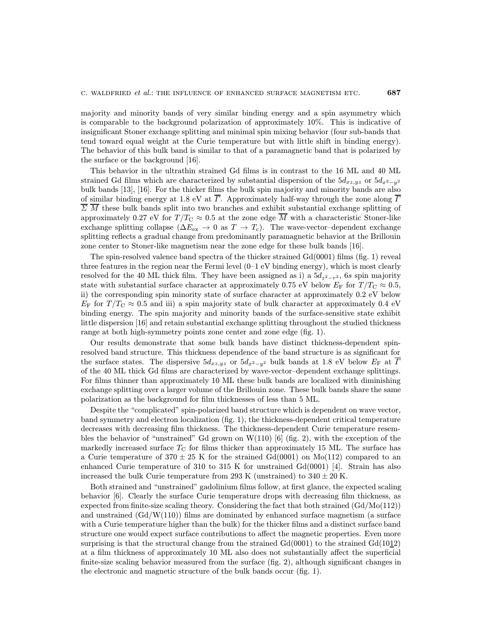majority and minority bands of very similar binding energy and a spin asymmetry which is comparable to the background polarization of approximately 10%. This is indicative of insignificant Stoner exchange splitting and minimal spin mixing behavior (four sub-bands that tend toward equal weight at the Curie temperature but with little shift in binding energy). The behavior of this bulk band is similar to that of a paramagnetic band that is polarized by the surface or the background [16].

This behavior in the ultrathin strained Gd films is in contrast to the 16 ML and 40 ML strained Gd films which are characterized by substantial dispersion of the  $5d_{xz,yz}$  or  $5d_{x^2-y^2}$ bulk bands [13], [16]. For the thicker films the bulk spin majority and minority bands are also of similar binding energy at 1.8 eV at  $\overline{\Gamma}$ . Approximately half-way through the zone along  $\overline{\Gamma}$  $\overline{\Sigma}$  M these bulk bands split into two branches and exhibit substantial exchange splitting of approximately 0.27 eV for  $T/T_{\rm C} \approx 0.5$  at the zone edge M with a characteristic Stoner-like exchange splitting collapse ( $\Delta E_{\rm ex} \rightarrow 0$  as  $T \rightarrow T_c$ ). The wave-vector-dependent exchange splitting reflects a gradual change from predominantly paramagnetic behavior at the Brillouin zone center to Stoner-like magnetism near the zone edge for these bulk bands [16].

The spin-resolved valence band spectra of the thicker strained Gd(0001) films (fig. 1) reveal three features in the region near the Fermi level (0–1 eV binding energy), which is most clearly resolved for the 40 ML thick film. They have been assigned as i) a  $5d_{z^2-r^2}$ , 6s spin majority state with substantial surface character at approximately 0.75 eV below  $E_F$  for  $T/T_C \approx 0.5$ , ii) the corresponding spin minority state of surface character at approximately 0.2 eV below  $E_F$  for  $T/T_C \approx 0.5$  and iii) a spin majority state of bulk character at approximately 0.4 eV binding energy. The spin majority and minority bands of the surface-sensitive state exhibit little dispersion [16] and retain substantial exchange splitting throughout the studied thickness range at both high-symmetry points zone center and zone edge (fig. 1).

Our results demonstrate that some bulk bands have distinct thickness-dependent spinresolved band structure. This thickness dependence of the band structure is as significant for the surface states. The dispersive  $5d_{xz,yz}$  or  $5d_{x^2-y^2}$  bulk bands at 1.8 eV below  $E_{\rm F}$  at  $\Gamma$ of the 40 ML thick Gd films are characterized by wave-vector–dependent exchange splittings. For films thinner than approximately 10 ML these bulk bands are localized with diminishing exchange splitting over a larger volume of the Brillouin zone. These bulk bands share the same polarization as the background for film thicknesses of less than 5 ML.

Despite the "complicated" spin-polarized band structure which is dependent on wave vector, band symmetry and electron localization (fig. 1), the thickness-dependent critical temperature decreases with decreasing film thickness. The thickness-dependent Curie temperature resembles the behavior of "unstrained" Gd grown on W(110) [6] (fig. 2), with the exception of the markedly increased surface  $T_{\rm C}$  for films thicker than approximately 15 ML. The surface has a Curie temperature of  $370 \pm 25$  K for the strained Gd(0001) on Mo(112) compared to an enhanced Curie temperature of 310 to 315 K for unstrained Gd(0001) [4]. Strain has also increased the bulk Curie temperature from 293 K (unstrained) to  $340 \pm 20$  K.

Both strained and "unstrained" gadolinium films follow, at first glance, the expected scaling behavior [6]. Clearly the surface Curie temperature drops with decreasing film thickness, as expected from finite-size scaling theory. Considering the fact that both strained (Gd/Mo(112)) and unstrained  $(Gd/W(110))$  films are dominated by enhanced surface magnetism (a surface with a Curie temperature higher than the bulk) for the thicker films and a distinct surface band structure one would expect surface contributions to affect the magnetic properties. Even more surprising is that the structural change from the strained  $Gd(0001)$  to the strained  $Gd(1012)$ at a film thickness of approximately 10 ML also does not substantially affect the superficial finite-size scaling behavior measured from the surface (fig. 2), although significant changes in the electronic and magnetic structure of the bulk bands occur (fig. 1).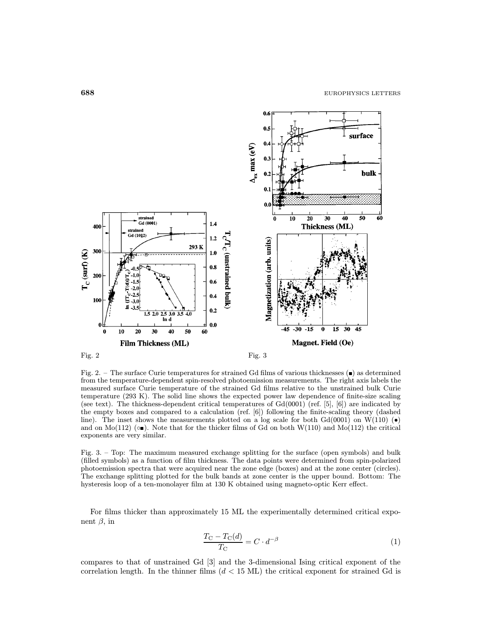

Fig. 2. – The surface Curie temperatures for strained Gd films of various thicknesses  $(\blacksquare)$  as determined from the temperature-dependent spin-resolved photoemission measurements. The right axis labels the measured surface Curie temperature of the strained Gd films relative to the unstrained bulk Curie temperature (293 K). The solid line shows the expected power law dependence of finite-size scaling (see text). The thickness-dependent critical temperatures of  $Gd(0001)$  (ref. [5], [6]) are indicated by the empty boxes and compared to a calculation (ref. [6]) following the finite-scaling theory (dashed line). The inset shows the measurements plotted on a log scale for both Gd(0001) on W(110) ( $\bullet$ ) and on Mo(112) ( $\bullet$ ). Note that for the thicker films of Gd on both W(110) and Mo(112) the critical exponents are very similar.

Fig. 3. – Top: The maximum measured exchange splitting for the surface (open symbols) and bulk (filled symbols) as a function of film thickness. The data points were determined from spin-polarized photoemission spectra that were acquired near the zone edge (boxes) and at the zone center (circles). The exchange splitting plotted for the bulk bands at zone center is the upper bound. Bottom: The hysteresis loop of a ten-monolayer film at 130 K obtained using magneto-optic Kerr effect.

For films thicker than approximately 15 ML the experimentally determined critical exponent  $β$ , in

$$
\frac{T_{\rm C} - T_{\rm C}(d)}{T_{\rm C}} = C \cdot d^{-\beta} \tag{1}
$$

compares to that of unstrained Gd [3] and the 3-dimensional Ising critical exponent of the correlation length. In the thinner films  $(d < 15$  ML) the critical exponent for strained Gd is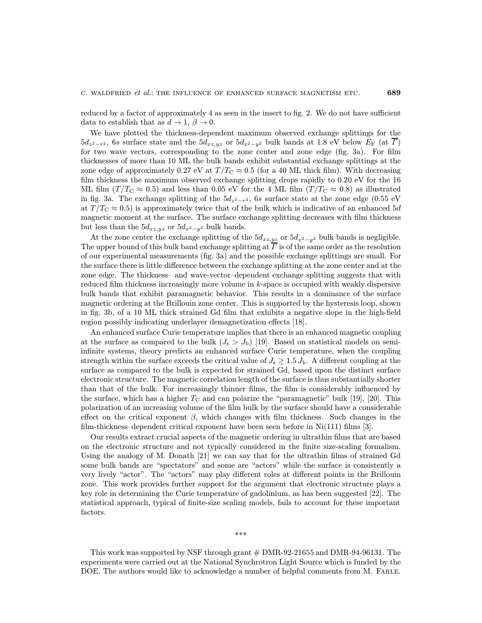reduced by a factor of approximately 4 as seen in the insert to fig. 2. We do not have sufficient data to establish that as  $d \to 1$ ,  $\beta \to 0$ .

We have plotted the thickness-dependent maximum observed exchange splittings for the  $5d_{z^2-r^2}$ , 6s surface state and the  $5d_{xz,yz}$  or  $5d_{x^2-y^2}$  bulk bands at 1.8 eV below  $E_{\rm F}$  (at  $\Gamma$ ) for two wave vectors, corresponding to the zone center and zone edge (fig. 3a). For film thicknesses of more than 10 ML the bulk bands exhibit substantial exchange splittings at the zone edge of approximately 0.27 eV at  $T/T_{\rm C} \approx 0.5$  (for a 40 ML thick film). With decreasing film thickness the maximum observed exchange splitting drops rapidly to 0.20 eV for the 16 ML film  $(T/T_C \approx 0.5)$  and less than 0.05 eV for the 4 ML film  $(T/T_C \approx 0.8)$  as illustrated in fig. 3a. The exchange splitting of the  $5d_{z^2-r^2}$ , 6s surface state at the zone edge (0.55 eV at  $T/T_{\rm C} \approx 0.5$ ) is approximately twice that of the bulk which is indicative of an enhanced 5d magnetic moment at the surface. The surface exchange splitting decreases with film thickness but less than the  $5d_{xz,yz}$  or  $5d_{x^2-y^2}$  bulk bands.

At the zone center the exchange splitting of the  $5d_{xz,yz}$  or  $5d_{x^2-y^2}$  bulk bands is negligible. The upper bound of this bulk band exchange splitting at  $\Gamma$  is of the same order as the resolution of our experimental measurements (fig. 3a) and the possible exchange splittings are small. For the surface there is little difference between the exchange splitting at the zone center and at the zone edge. The thickness– and wave-vector–dependent exchange splitting suggests that with reduced film thickness increasingly more volume in  $k$ -space is occupied with weakly dispersive bulk bands that exhibit paramagnetic behavior. This results in a dominance of the surface magnetic ordering at the Brillouin zone center. This is supported by the hysteresis loop, shown in fig. 3b, of a 10 ML thick strained Gd film that exhibits a negative slope in the high-field region possibly indicating underlayer demagnetization effects [18].

An enhanced surface Curie temperature implies that there is an enhanced magnetic coupling at the surface as compared to the bulk  $(J_s > J_b)$  [19]. Based on statistical models on semiinfinite systems, theory predicts an enhanced surface Curie temperature, when the coupling strength within the surface exceeds the critical value of  $J_s \geq 1.5 J_b$ . A different coupling at the surface as compared to the bulk is expected for strained Gd, based upon the distinct surface electronic structure. The magnetic correlation length of the surface is thus substantially shorter than that of the bulk. For increasingly thinner films, the film is considerably influenced by the surface, which has a higher  $T_{\rm C}$  and can polarize the "paramagnetic" bulk [19], [20]. This polarization of an increasing volume of the film bulk by the surface should have a considerable effect on the critical exponent  $\beta$ , which changes with film thickness. Such changes in the film-thickness–dependent critical exponent have been seen before in  $Ni(111)$  films [3].

Our results extract crucial aspects of the magnetic ordering in ultrathin films that are based on the electronic structure and not typically considered in the finite size-scaling formalism. Using the analogy of M. Donath [21] we can say that for the ultrathin films of strained Gd some bulk bands are "spectators" and some are "actors" while the surface is consistently a very lively "actor". The "actors" may play different roles at different points in the Brillouin zone. This work provides further support for the argument that electronic structure plays a key role in determining the Curie temperature of gadolinium, as has been suggested [22]. The statistical approach, typical of finite-size scaling models, fails to account for these important factors.

This work was supported by NSF through grant # DMR-92-21655 and DMR-94-96131. The experiments were carried out at the National Synchrotron Light Source which is funded by the DOE. The authors would like to acknowledge a number of helpful comments from M. FARLE.